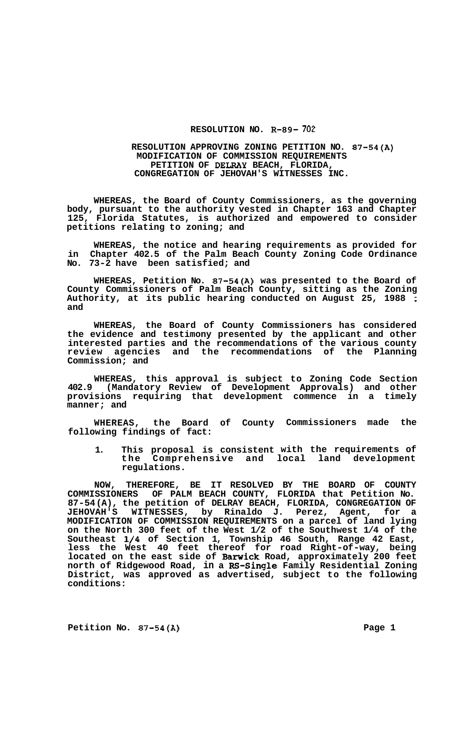## **RESOLUTION NO. R-89- 702**

## **RESOLUTION APPROVING ZONING PETITION NO. 87-54(A) MODIFICATION OF COMMISSION REQUIREMENTS PETITION OF DELRAY BEACH, FLORIDA, CONGREGATION OF JEHOVAH'S WITNESSES INC.**

**WHEREAS, the Board of County Commissioners, as the governing body, pursuant to the authority vested in Chapter 163 and Chapter 125, Florida Statutes, is authorized and empowered to consider petitions relating to zoning; and** 

**WHEREAS, the notice and hearing requirements as provided for in Chapter 402.5 of the Palm Beach County Zoning Code Ordinance No. 73-2 have been satisfied; and** 

**WHEREAS, Petition No. 87-54(A) was presented to the Board of County Commissioners of Palm Beach County, sitting as the Zoning Authority, at its public hearing conducted on August 25, 1988** ; **and** 

**WHEREAS, the Board of County Commissioners has considered the evidence and testimony presented by the applicant and other interested parties and the recommendations of the various county review agencies and the recommendations of the Planning Commission; and** 

**WHEREAS, this approval is subject to Zoning Code Section 402.9 (Mandatory Review of Development Approvals) and other provisions requiring that development commence in a timely manner; and** 

**WHEREAS, the Board of County Commissioners made the following findings of fact:** 

**1. This proposal is consistent the Comprehensive and regulations. with the requirements of local land development** 

**NOW, THEREFORE, BE IT RESOLVED COMMISSIONERS OF PALM BEACH COUNTY, BY THE BOARD OF COUNTY FLORIDA that Petition No. 87-54 (A), the petition of DELRAY BEACH, FLORIDA, CONGREGATION OF**  JEHOVAH'S WITNESSES, by Rinaldo J. Perez, Agent, **MODIFICATION OF COMMISSION REQUIREMENTS on a parcel of land lying on the North 300 feet of the West 1/2 of the Southwest 1/4 of the Southeast 1/4 of Section 1, Township 46 South, Range 42 East, less the West 40 feet thereof for road Right-of-way, being located on the east side of Barwick Road, approximately 200 feet**  <code>north of Ridgewood Road, in a RS-Single Family Residential Zoning </code> **District, was approved as advertised, subject to the following conditions:** 

Petition No. 87-54(A) Page 1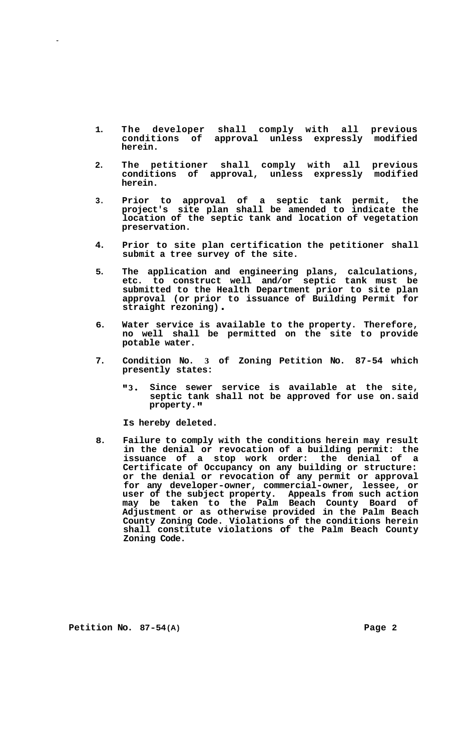- **1. The developer shall comply with all previous conditions of approval unless expressly modified herein.**
- **2. The petitioner shall comply with all previous conditions of approval, unless expressly modified**  conditions of approval, unless expressly herein.
- **3. Prior to approval of a septic tank permit, the project's site plan shall be amended to indicate the location of the septic tank and location of vegetation preservation.**
- **4. Prior to site plan certification the petitioner shall submit a tree survey of the site.**
- **5. The application and engineering plans, calculations, etc. to construct well and/or septic tank must be submitted to the Health Department prior to site plan approval (or prior to issuance of Building Permit for straight rezoning)** .
- **6. Water service is available to the property. Therefore, no well shall be permitted on the site to provide potable water.**
- **7. Condition No. 3 of Zoning Petition No. 87-54 which presently states:** 
	- **"3. Since sewer service is available at the site, septic tank shall not be approved for use on. said property.**

**Is hereby deleted.** 

**8. Failure to comply with the conditions herein may result in the denial or revocation of a building permit: the issuance of a stop work order: the denial of a Certificate of Occupancy on any building or structure: or the denial or revocation of any permit or approval for any developer-owner, commercial-owner, lessee, or user of the subject property. Appeals from such action may be taken to the Palm Beach County Board of Adjustment or as otherwise provided in the Palm Beach County Zoning Code. Violations of the conditions herein shall constitute violations of the Palm Beach County Zoning Code.** 

**Petition No. 87-54(A) Page 2**